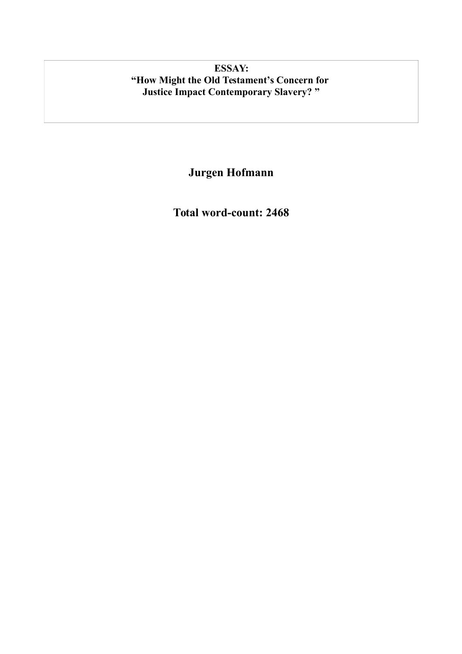# **ESSAY: "How Might the Old Testament's Concern for Justice Impact Contemporary Slavery? "**

**Jurgen Hofmann**

**Total word-count: 2468**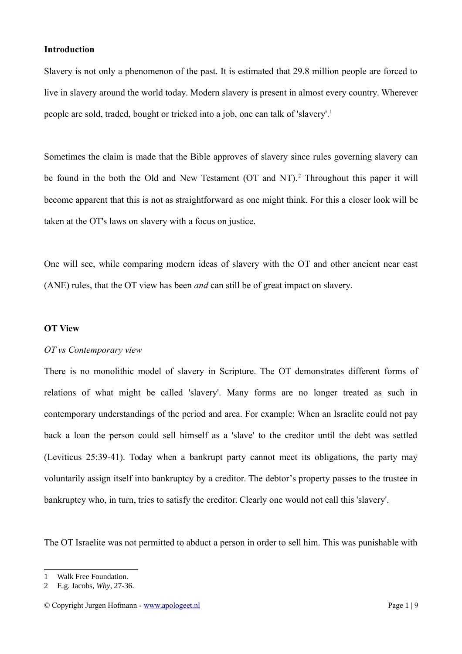# **Introduction**

Slavery is not only a phenomenon of the past. It is estimated that 29.8 million people are forced to live in slavery around the world today. Modern slavery is present in almost every country. Wherever people are sold, traded, bought or tricked into a job, one can talk of 'slavery'.[1](#page-1-0)

Sometimes the claim is made that the Bible approves of slavery since rules governing slavery can be found in the both the Old and New Testament (OT and NT).<sup>[2](#page-1-1)</sup> Throughout this paper it will become apparent that this is not as straightforward as one might think. For this a closer look will be taken at the OT's laws on slavery with a focus on justice.

One will see, while comparing modern ideas of slavery with the OT and other ancient near east (ANE) rules, that the OT view has been *and* can still be of great impact on slavery.

### **OT View**

### *OT vs Contemporary view*

There is no monolithic model of slavery in Scripture. The OT demonstrates different forms of relations of what might be called 'slavery'. Many forms are no longer treated as such in contemporary understandings of the period and area. For example: When an Israelite could not pay back a loan the person could sell himself as a 'slave' to the creditor until the debt was settled (Leviticus 25:39-41). Today when a bankrupt party cannot meet its obligations, the party may voluntarily assign itself into bankruptcy by a creditor. The debtor's property passes to the trustee in bankruptcy who, in turn, tries to satisfy the creditor. Clearly one would not call this 'slavery'.

The OT Israelite was not permitted to abduct a person in order to sell him. This was punishable with

<span id="page-1-0"></span><sup>1</sup> Walk Free Foundation.

<span id="page-1-1"></span><sup>2</sup> E.g. Jacobs, *Why*, 27-36.

<sup>©</sup> Copyright Jurgen Hofmann - [www.apologeet.nl](http://www.apologeet.nl/) Page 1 | 9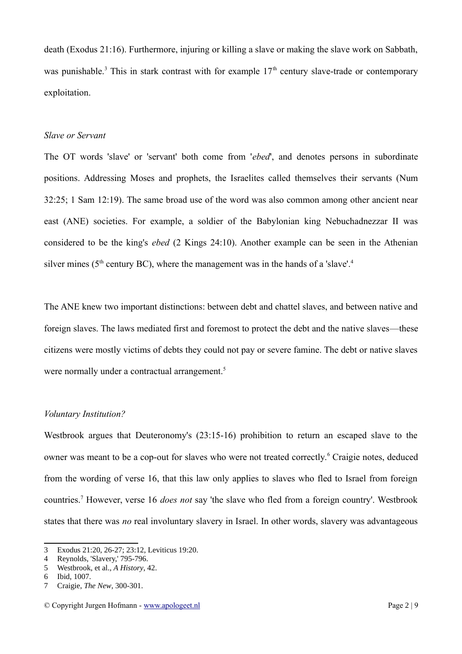death (Exodus 21:16). Furthermore, injuring or killing a slave or making the slave work on Sabbath, was punishable.<sup>[3](#page-2-0)</sup> This in stark contrast with for example  $17<sup>th</sup>$  century slave-trade or contemporary exploitation.

#### *Slave or Servant*

The OT words 'slave' or 'servant' both come from '*ebed*', and denotes persons in subordinate positions. Addressing Moses and prophets, the Israelites called themselves their servants (Num 32:25; 1 Sam 12:19). The same broad use of the word was also common among other ancient near east (ANE) societies. For example, a soldier of the Babylonian king Nebuchadnezzar II was considered to be the king's *ebed* (2 Kings 24:10). Another example can be seen in the Athenian silver mines ( $5<sup>th</sup>$  century BC), where the management was in the hands of a 'slave'.<sup>[4](#page-2-1)</sup>

The ANE knew two important distinctions: between debt and chattel slaves, and between native and foreign slaves. The laws mediated first and foremost to protect the debt and the native slaves—these citizens were mostly victims of debts they could not pay or severe famine. The debt or native slaves were normally under a contractual arrangement.<sup>[5](#page-2-2)</sup>

# *Voluntary Institution?*

Westbrook argues that Deuteronomy's (23:15-16) prohibition to return an escaped slave to the owner was meant to be a cop-out for slaves who were not treated correctly.<sup>[6](#page-2-3)</sup> Craigie notes, deduced from the wording of verse 16, that this law only applies to slaves who fled to Israel from foreign countries.[7](#page-2-4) However, verse 16 *does not* say 'the slave who fled from a foreign country'. Westbrook states that there was *no* real involuntary slavery in Israel. In other words, slavery was advantageous

<span id="page-2-0"></span><sup>3</sup> Exodus 21:20, 26-27; 23:12, Leviticus 19:20.

<span id="page-2-1"></span><sup>4</sup> Reynolds, 'Slavery,' 795-796.

<span id="page-2-2"></span><sup>5</sup> Westbrook, et al., *A History*, 42.

<span id="page-2-3"></span><sup>6</sup> Ibid, 1007.

<span id="page-2-4"></span><sup>7</sup> Craigie, *The New*, 300-301.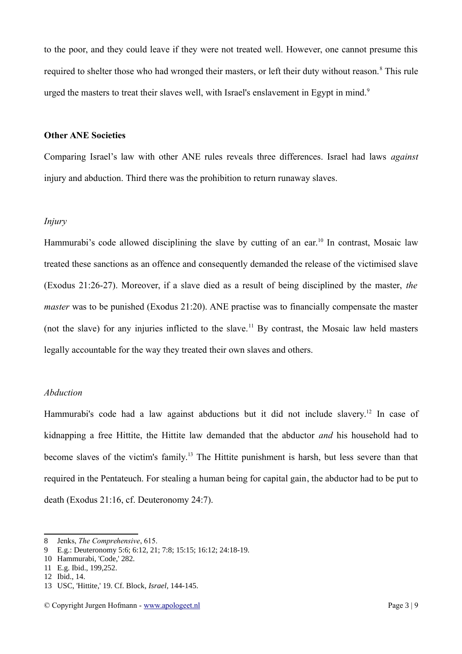to the poor, and they could leave if they were not treated well. However, one cannot presume this required to shelter those who had wronged their masters, or left their duty without reason.<sup>[8](#page-3-0)</sup> This rule urged the masters to treat their slaves well, with Israel's enslavement in Egypt in mind.<sup>[9](#page-3-1)</sup>

# **Other ANE Societies**

Comparing Israel's law with other ANE rules reveals three differences. Israel had laws *against* injury and abduction. Third there was the prohibition to return runaway slaves.

# *Injury*

Hammurabi's code allowed disciplining the slave by cutting of an ear.<sup>[10](#page-3-2)</sup> In contrast, Mosaic law treated these sanctions as an offence and consequently demanded the release of the victimised slave (Exodus 21:26-27). Moreover, if a slave died as a result of being disciplined by the master, *the master* was to be punished (Exodus 21:20). ANE practise was to financially compensate the master (not the slave) for any injuries inflicted to the slave.<sup>[11](#page-3-3)</sup> By contrast, the Mosaic law held masters legally accountable for the way they treated their own slaves and others.

#### *Abduction*

Hammurabi's code had a law against abductions but it did not include slavery.<sup>[12](#page-3-4)</sup> In case of kidnapping a free Hittite, the Hittite law demanded that the abductor *and* his household had to become slaves of the victim's family.<sup>[13](#page-3-5)</sup> The Hittite punishment is harsh, but less severe than that required in the Pentateuch. For stealing a human being for capital gain, the abductor had to be put to death (Exodus 21:16, cf. Deuteronomy 24:7).

<span id="page-3-0"></span><sup>8</sup> Jenks, *The Comprehensive*, 615.

<span id="page-3-1"></span><sup>9</sup> E.g.: Deuteronomy 5:6; 6:12, 21; 7:8; 15:15; 16:12; 24:18-19.

<span id="page-3-2"></span><sup>10</sup> Hammurabi, 'Code,' 282.

<span id="page-3-3"></span><sup>11</sup> E.g. Ibid., 199,252.

<span id="page-3-4"></span><sup>12</sup> Ibid., 14.

<span id="page-3-5"></span><sup>13</sup> USC, 'Hittite,' 19. Cf. Block, *Israel*, 144-145.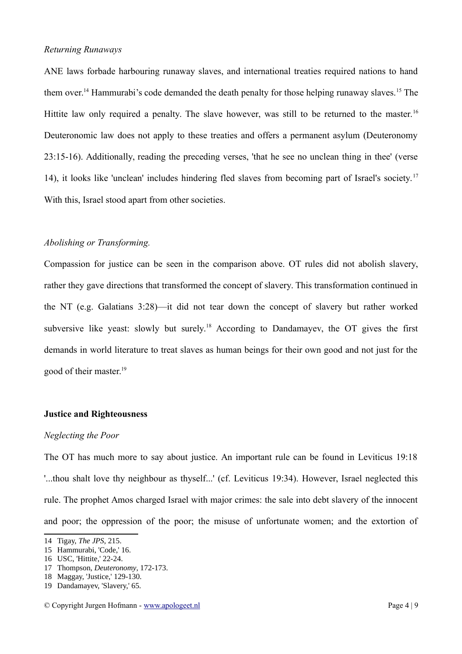### *Returning Runaways*

ANE laws forbade harbouring runaway slaves, and international treaties required nations to hand them over.<sup>[14](#page-4-0)</sup> Hammurabi's code demanded the death penalty for those helping runaway slaves.<sup>[15](#page-4-1)</sup> The Hittite law only required a penalty. The slave however, was still to be returned to the master.<sup>[16](#page-4-2)</sup> Deuteronomic law does not apply to these treaties and offers a permanent asylum (Deuteronomy 23:15-16). Additionally, reading the preceding verses, 'that he see no unclean thing in thee' (verse 14), it looks like 'unclean' includes hindering fled slaves from becoming part of Israel's society.<sup>[17](#page-4-3)</sup> With this, Israel stood apart from other societies.

# *Abolishing or Transforming.*

Compassion for justice can be seen in the comparison above. OT rules did not abolish slavery, rather they gave directions that transformed the concept of slavery. This transformation continued in the NT (e.g. Galatians 3:28)—it did not tear down the concept of slavery but rather worked subversive like yeast: slowly but surely.<sup>[18](#page-4-4)</sup> According to Dandamayev, the OT gives the first demands in world literature to treat slaves as human beings for their own good and not just for the good of their master.<sup>[19](#page-4-5)</sup>

### **Justice and Righteousness**

#### *Neglecting the Poor*

The OT has much more to say about justice. An important rule can be found in Leviticus 19:18 '...thou shalt love thy neighbour as thyself...' (cf. Leviticus 19:34). However, Israel neglected this rule. The prophet Amos charged Israel with major crimes: the sale into debt slavery of the innocent and poor; the oppression of the poor; the misuse of unfortunate women; and the extortion of

<span id="page-4-0"></span><sup>14</sup> Tigay, *The JPS*, 215.

<span id="page-4-1"></span><sup>15</sup> Hammurabi, 'Code,' 16.

<span id="page-4-2"></span><sup>16</sup> USC, 'Hittite,' 22-24.

<span id="page-4-3"></span><sup>17</sup> Thompson, *Deuteronomy*, 172-173.

<span id="page-4-4"></span><sup>18</sup> Maggay, 'Justice,' 129-130.

<span id="page-4-5"></span><sup>19</sup> Dandamayev, 'Slavery,' 65.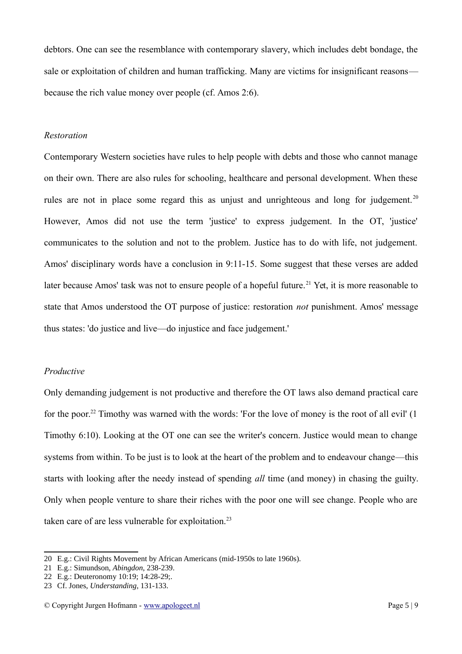debtors. One can see the resemblance with contemporary slavery, which includes debt bondage, the sale or exploitation of children and human trafficking. Many are victims for insignificant reasons because the rich value money over people (cf. Amos 2:6).

#### *Restoration*

Contemporary Western societies have rules to help people with debts and those who cannot manage on their own. There are also rules for schooling, healthcare and personal development. When these rules are not in place some regard this as unjust and unrighteous and long for judgement.<sup>[20](#page-5-0)</sup> However, Amos did not use the term 'justice' to express judgement. In the OT, 'justice' communicates to the solution and not to the problem. Justice has to do with life, not judgement. Amos' disciplinary words have a conclusion in 9:11-15. Some suggest that these verses are added later because Amos' task was not to ensure people of a hopeful future.<sup>[21](#page-5-1)</sup> Yet, it is more reasonable to state that Amos understood the OT purpose of justice: restoration *not* punishment. Amos' message thus states: 'do justice and live—do injustice and face judgement.'

# *Productive*

Only demanding judgement is not productive and therefore the OT laws also demand practical care for the poor.<sup>[22](#page-5-2)</sup> Timothy was warned with the words: 'For the love of money is the root of all evil' (1) Timothy 6:10). Looking at the OT one can see the writer's concern. Justice would mean to change systems from within. To be just is to look at the heart of the problem and to endeavour change—this starts with looking after the needy instead of spending *all* time (and money) in chasing the guilty. Only when people venture to share their riches with the poor one will see change. People who are taken care of are less vulnerable for exploitation.<sup>[23](#page-5-3)</sup>

<span id="page-5-0"></span><sup>20</sup> E.g.: Civil Rights Movement by African Americans (mid-1950s to late 1960s).

<span id="page-5-1"></span><sup>21</sup> E.g.: Simundson, *Abingdon*, 238-239.

<span id="page-5-2"></span><sup>22</sup> E.g.: Deuteronomy 10:19; 14:28-29;.

<span id="page-5-3"></span><sup>23</sup> Cf. Jones, *Understanding*, 131-133.

<sup>©</sup> Copyright Jurgen Hofmann - [www.apologeet.nl](http://www.apologeet.nl/) Page 5 | 9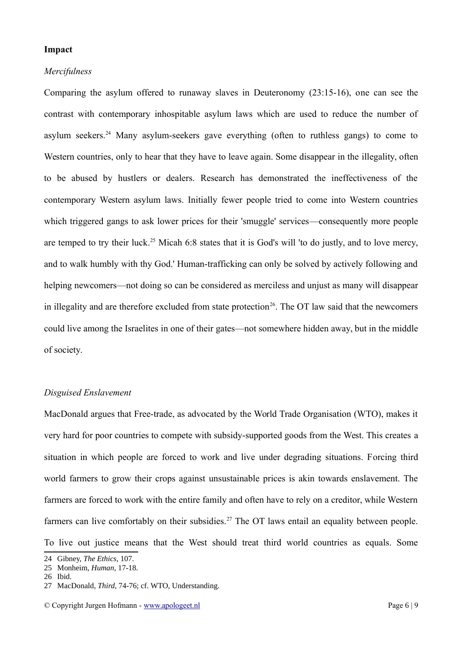#### **Impact**

#### *Mercifulness*

Comparing the asylum offered to runaway slaves in Deuteronomy (23:15-16), one can see the contrast with contemporary inhospitable asylum laws which are used to reduce the number of asylum seekers.<sup>[24](#page-6-0)</sup> Many asylum-seekers gave everything (often to ruthless gangs) to come to Western countries, only to hear that they have to leave again. Some disappear in the illegality, often to be abused by hustlers or dealers. Research has demonstrated the ineffectiveness of the contemporary Western asylum laws. Initially fewer people tried to come into Western countries which triggered gangs to ask lower prices for their 'smuggle' services—consequently more people are temped to try their luck.<sup>[25](#page-6-1)</sup> Micah 6:8 states that it is God's will 'to do justly, and to love mercy, and to walk humbly with thy God.' Human-trafficking can only be solved by actively following and helping newcomers—not doing so can be considered as merciless and unjust as many will disappear in illegality and are therefore excluded from state protection<sup>[26](#page-6-2)</sup>. The OT law said that the newcomers could live among the Israelites in one of their gates—not somewhere hidden away, but in the middle of society.

# *Disguised Enslavement*

MacDonald argues that Free-trade, as advocated by the World Trade Organisation (WTO), makes it very hard for poor countries to compete with subsidy-supported goods from the West. This creates a situation in which people are forced to work and live under degrading situations. Forcing third world farmers to grow their crops against unsustainable prices is akin towards enslavement. The farmers are forced to work with the entire family and often have to rely on a creditor, while Western farmers can live comfortably on their subsidies.<sup>[27](#page-6-3)</sup> The OT laws entail an equality between people. To live out justice means that the West should treat third world countries as equals. Some

<span id="page-6-0"></span><sup>24</sup> Gibney, *The Ethics*, 107.

<span id="page-6-1"></span><sup>25</sup> Monheim, *Human*, 17-18.

<span id="page-6-2"></span><sup>26</sup> Ibid.

<span id="page-6-3"></span><sup>27</sup> MacDonald, *Third*, 74-76; cf. WTO, Understanding.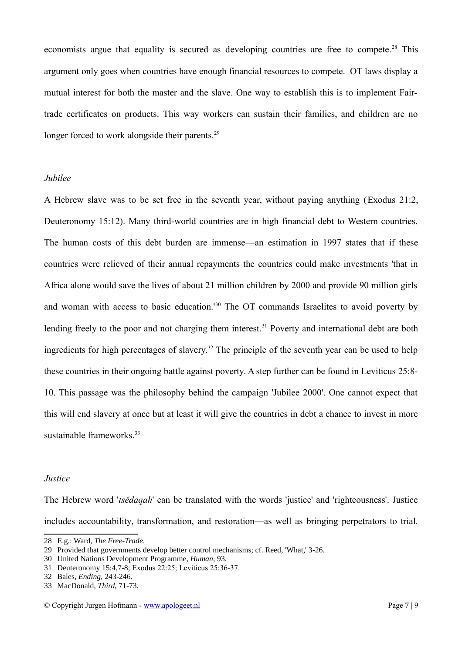economists argue that equality is secured as developing countries are free to compete.<sup>[28](#page-7-0)</sup> This argument only goes when countries have enough financial resources to compete. OT laws display a mutual interest for both the master and the slave. One way to establish this is to implement Fairtrade certificates on products. This way workers can sustain their families, and children are no longer forced to work alongside their parents.<sup>[29](#page-7-1)</sup>

# *Jubilee*

A Hebrew slave was to be set free in the seventh year, without paying anything (Exodus 21:2, Deuteronomy 15:12). Many third-world countries are in high financial debt to Western countries. The human costs of this debt burden are immense—an estimation in 1997 states that if these countries were relieved of their annual repayments the countries could make investments 'that in Africa alone would save the lives of about 21 million children by 2000 and provide 90 million girls and woman with access to basic education.'[30](#page-7-2) The OT commands Israelites to avoid poverty by lending freely to the poor and not charging them interest.<sup>[31](#page-7-3)</sup> Poverty and international debt are both ingredients for high percentages of slavery.<sup>[32](#page-7-4)</sup> The principle of the seventh year can be used to help these countries in their ongoing battle against poverty. A step further can be found in Leviticus 25:8- 10. This passage was the philosophy behind the campaign 'Jubilee 2000'. One cannot expect that this will end slavery at once but at least it will give the countries in debt a chance to invest in more sustainable frameworks.<sup>[33](#page-7-5)</sup>

#### *Justice*

The Hebrew word '*tsĕdaqah*' can be translated with the words 'justice' and 'righteousness'. Justice includes accountability, transformation, and restoration—as well as bringing perpetrators to trial.

<span id="page-7-0"></span><sup>28</sup> E.g.: Ward, *The Free-Trade*.

<span id="page-7-1"></span><sup>29</sup> Provided that governments develop better control mechanisms; cf. Reed, 'What,' 3-26.

<span id="page-7-2"></span><sup>30</sup> United Nations Development Programme, *Human*, 93.

<span id="page-7-3"></span><sup>31</sup> Deuteronomy 15:4,7-8; Exodus 22:25; Leviticus 25:36-37.

<span id="page-7-4"></span><sup>32</sup> Bales, *Ending*, 243-246.

<span id="page-7-5"></span><sup>33</sup> MacDonald, *Third*, 71-73.

<sup>©</sup> Copyright Jurgen Hofmann - [www.apologeet.nl](http://www.apologeet.nl/) Page 7 | 9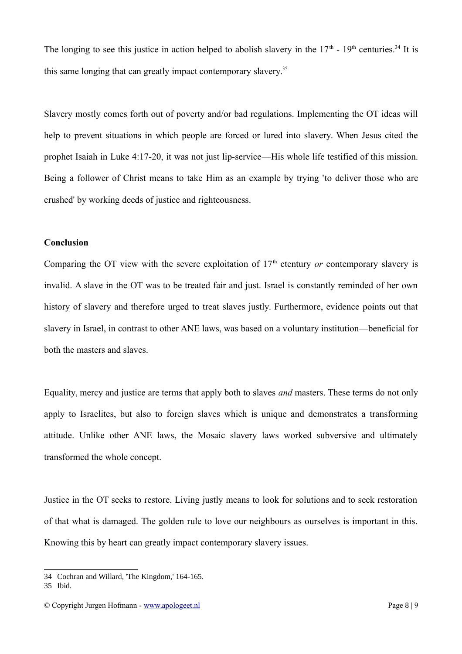The longing to see this justice in action helped to abolish slavery in the  $17<sup>th</sup>$  -  $19<sup>th</sup>$  centuries.<sup>[34](#page-8-0)</sup> It is this same longing that can greatly impact contemporary slavery.<sup>[35](#page-8-1)</sup>

Slavery mostly comes forth out of poverty and/or bad regulations. Implementing the OT ideas will help to prevent situations in which people are forced or lured into slavery. When Jesus cited the prophet Isaiah in Luke 4:17-20, it was not just lip-service—His whole life testified of this mission. Being a follower of Christ means to take Him as an example by trying 'to deliver those who are crushed' by working deeds of justice and righteousness.

# **Conclusion**

Comparing the OT view with the severe exploitation of  $17<sup>th</sup>$  ctentury *or* contemporary slavery is invalid. A slave in the OT was to be treated fair and just. Israel is constantly reminded of her own history of slavery and therefore urged to treat slaves justly. Furthermore, evidence points out that slavery in Israel, in contrast to other ANE laws, was based on a voluntary institution—beneficial for both the masters and slaves.

Equality, mercy and justice are terms that apply both to slaves *and* masters. These terms do not only apply to Israelites, but also to foreign slaves which is unique and demonstrates a transforming attitude. Unlike other ANE laws, the Mosaic slavery laws worked subversive and ultimately transformed the whole concept.

Justice in the OT seeks to restore. Living justly means to look for solutions and to seek restoration of that what is damaged. The golden rule to love our neighbours as ourselves is important in this. Knowing this by heart can greatly impact contemporary slavery issues.

<span id="page-8-0"></span><sup>34</sup> Cochran and Willard, 'The Kingdom,' 164-165.

<span id="page-8-1"></span><sup>35</sup> Ibid.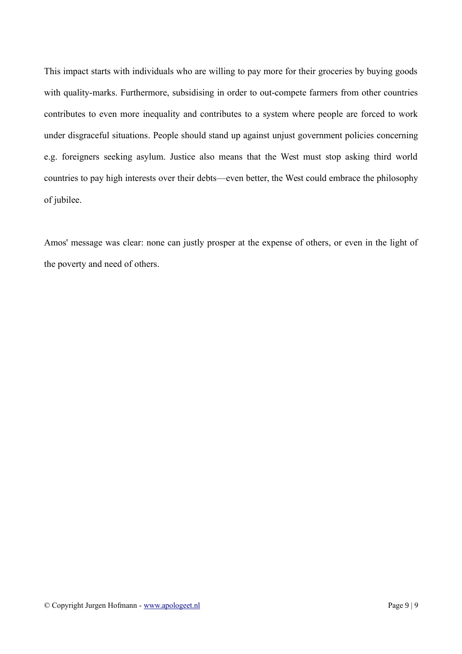This impact starts with individuals who are willing to pay more for their groceries by buying goods with quality-marks. Furthermore, subsidising in order to out-compete farmers from other countries contributes to even more inequality and contributes to a system where people are forced to work under disgraceful situations. People should stand up against unjust government policies concerning e.g. foreigners seeking asylum. Justice also means that the West must stop asking third world countries to pay high interests over their debts—even better, the West could embrace the philosophy of jubilee.

Amos' message was clear: none can justly prosper at the expense of others, or even in the light of the poverty and need of others.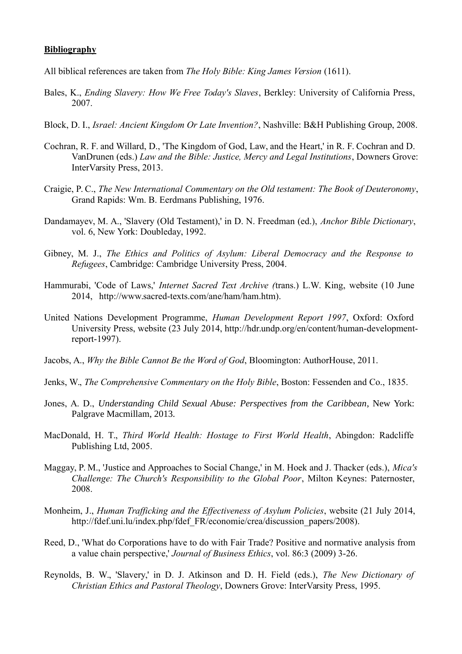# **Bibliography**

- All biblical references are taken from *The Holy Bible: King James Version* (1611).
- Bales, K., *Ending Slavery: How We Free Today's Slaves*, Berkley: University of California Press, 2007.
- Block, D. I., *Israel: Ancient Kingdom Or Late Invention?*, Nashville: B&H Publishing Group, 2008.
- Cochran, R. F. and Willard, D., 'The Kingdom of God, Law, and the Heart,' in R. F. Cochran and D. VanDrunen (eds.) *Law and the Bible: Justice, Mercy and Legal Institutions*, Downers Grove: InterVarsity Press, 2013.
- Craigie, P. C., *The New International Commentary on the Old testament: The Book of Deuteronomy*, Grand Rapids: Wm. B. Eerdmans Publishing, 1976.
- Dandamayev, M. A., 'Slavery (Old Testament),' in D. N. Freedman (ed.), *Anchor Bible Dictionary*, vol. 6, New York: Doubleday, 1992.
- Gibney, M. J., *The Ethics and Politics of Asylum: Liberal Democracy and the Response to Refugees*, Cambridge: Cambridge University Press, 2004.
- Hammurabi, 'Code of Laws,' *Internet Sacred Text Archive (*trans.) L.W. King, website (10 June 2014, http://www.sacred-texts.com/ane/ham/ham.htm).
- United Nations Development Programme, *Human Development Report 1997*, Oxford: Oxford University Press, website (23 July 2014, http://hdr.undp.org/en/content/human-developmentreport-1997).
- Jacobs, A., *Why the Bible Cannot Be the Word of God*, Bloomington: AuthorHouse, 2011.
- Jenks, W., *The Comprehensive Commentary on the Holy Bible*, Boston: Fessenden and Co., 1835.
- Jones, A. D., *Understanding Child Sexual Abuse: Perspectives from the Caribbean*, New York: Palgrave Macmillam, 2013.
- MacDonald, H. T., *Third World Health: Hostage to First World Health*, Abingdon: Radcliffe Publishing Ltd, 2005.
- Maggay, P. M., 'Justice and Approaches to Social Change,' in M. Hoek and J. Thacker (eds.), *Mica's Challenge: The Church's Responsibility to the Global Poor*, Milton Keynes: Paternoster, 2008.
- Monheim, J., *Human Trafficking and the Effectiveness of Asylum Policies*, website (21 July 2014, http://fdef.uni.lu/index.php/fdef\_FR/economie/crea/discussion\_papers/2008).
- Reed, D., 'What do Corporations have to do with Fair Trade? Positive and normative analysis from a value chain perspective,' *Journal of Business Ethics*, vol. 86:3 (2009) 3-26.
- Reynolds, B. W., 'Slavery,' in D. J. Atkinson and D. H. Field (eds.), *The New Dictionary of Christian Ethics and Pastoral Theology*, Downers Grove: InterVarsity Press, 1995.